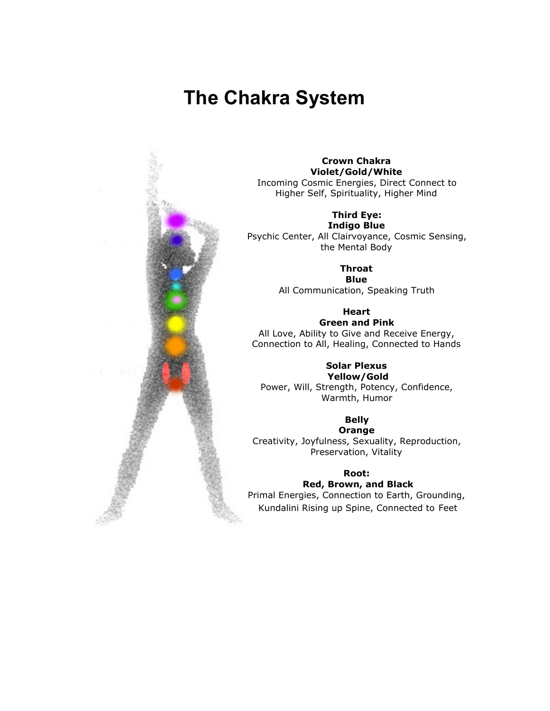# **The Chakra System**



#### **Crown Chakra Violet/Gold/White** Incoming Cosmic Energies, Direct Connect to Higher Self, Spirituality, Higher Mind

**Third Eye:**

**Indigo Blue** Psychic Center, All Clairvoyance, Cosmic Sensing, the Mental Body

> **Throat Blue**

All Communication, Speaking Truth

**Heart Green and Pink**

All Love, Ability to Give and Receive Energy, Connection to All, Healing, Connected to Hands

#### **Solar Plexus Yellow/Gold**

Power, Will, Strength, Potency, Confidence, Warmth, Humor

**Belly**

**Orange** Creativity, Joyfulness, Sexuality, Reproduction, Preservation, Vitality

### **Root:**

**Red, Brown, and Black** Primal Energies, Connection to Earth, Grounding, Kundalini Rising up Spine, Connected to Feet